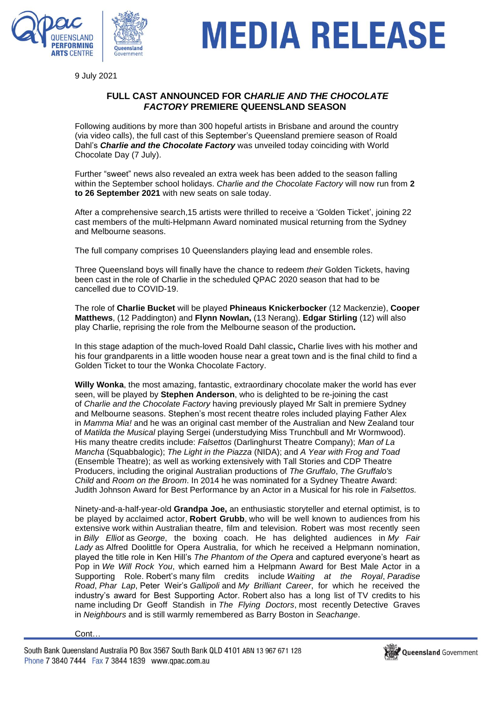

# MEDIA RELEASE

9 July 2021

## **FULL CAST ANNOUNCED FOR C***HARLIE AND THE CHOCOLATE FACTORY* **PREMIERE QUEENSLAND SEASON**

Following auditions by more than 300 hopeful artists in Brisbane and around the country (via video calls), the full cast of this September's Queensland premiere season of Roald Dahl's *Charlie and the Chocolate Factory* was unveiled today coinciding with World Chocolate Day (7 July).

Further "sweet" news also revealed an extra week has been added to the season falling within the September school holidays. *Charlie and the Chocolate Factory* will now run from **2 to 26 September 2021** with new seats on sale today.

After a comprehensive search,15 artists were thrilled to receive a 'Golden Ticket', joining 22 cast members of the multi-Helpmann Award nominated musical returning from the Sydney and Melbourne seasons.

The full company comprises 10 Queenslanders playing lead and ensemble roles.

Three Queensland boys will finally have the chance to redeem *their* Golden Tickets, having been cast in the role of Charlie in the scheduled QPAC 2020 season that had to be cancelled due to COVID-19.

The role of **Charlie Bucket** will be played **Phineaus Knickerbocker** (12 Mackenzie), **Cooper Matthews**, (12 Paddington) and **Flynn Nowlan,** (13 Nerang). **Edgar Stirling** (12) will also play Charlie, reprising the role from the Melbourne season of the production**.**

In this stage adaption of the much-loved Roald Dahl classic**,** Charlie lives with his mother and his four grandparents in a little wooden house near a great town and is the final child to find a Golden Ticket to tour the Wonka Chocolate Factory.

**Willy Wonka**, the most amazing, fantastic, extraordinary chocolate maker the world has ever seen, will be played by **Stephen Anderson**, who is delighted to be re-joining the cast of *Charlie and the Chocolate Factory* having previously played Mr Salt in premiere Sydney and Melbourne seasons. Stephen's most recent theatre roles included playing Father Alex in *Mamma Mia!* and he was an original cast member of the Australian and New Zealand tour of *Matilda the Musical* playing Sergei (understudying Miss Trunchbull and Mr Wormwood). His many theatre credits include: *Falsettos* (Darlinghurst Theatre Company); *Man of La Mancha* (Squabbalogic); *The Light in the Piazza* (NIDA); and *A Year with Frog and Toad* (Ensemble Theatre); as well as working extensively with Tall Stories and CDP Theatre Producers, including the original Australian productions of *The Gruffalo*, *The Gruffalo's Child* and *Room on the Broom*. In 2014 he was nominated for a Sydney Theatre Award: Judith Johnson Award for Best Performance by an Actor in a Musical for his role in *Falsettos.*

Ninety-and-a-half-year-old **Grandpa Joe,** an enthusiastic storyteller and eternal optimist, is to be played by acclaimed actor, **Robert Grubb**, who will be well known to audiences from his extensive work within Australian theatre, film and television. Robert was most recently seen in *Billy Elliot* as *George*, the boxing coach. He has delighted audiences in *My Fair Lady* as Alfred Doolittle for Opera Australia, for which he received a Helpmann nomination, played the title role in Ken Hill's *The Phantom of the Opera* and captured everyone's heart as Pop in *We Will Rock You*, which earned him a Helpmann Award for Best Male Actor in a Supporting Role. Robert's many film credits include *Waiting at the Royal*, *Paradise Road*, *Phar Lap*, Peter Weir's *Gallipoli* and *My Brilliant Career*, for which he received the industry's award for Best Supporting Actor. Robert also has a long list of TV credits to his name including Dr Geoff Standish in *The Flying Doctors*, most recently Detective Graves in *Neighbours* and is still warmly remembered as Barry Boston in *Seachange*.

Cont…

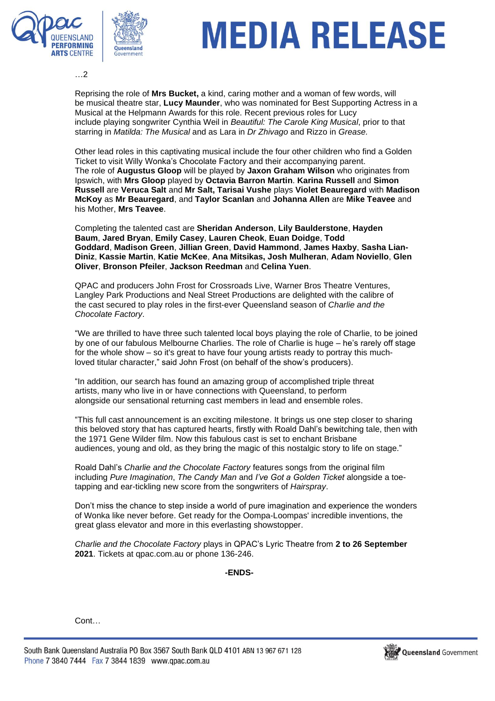



# MEDIA RELEASE

…2

Reprising the role of **Mrs Bucket,** a kind, caring mother and a woman of few words, will be musical theatre star, **Lucy Maunder**, who was nominated for Best Supporting Actress in a Musical at the Helpmann Awards for this role. Recent previous roles for Lucy include playing songwriter Cynthia Weil in *Beautiful: The Carole King Musical*, prior to that starring in *Matilda: The Musical* and as Lara in *Dr Zhivago* and Rizzo in *Grease.*

Other lead roles in this captivating musical include the four other children who find a Golden Ticket to visit Willy Wonka's Chocolate Factory and their accompanying parent. The role of **Augustus Gloop** will be played by **Jaxon Graham Wilson** who originates from Ipswich, with **Mrs Gloop** played by **Octavia Barron Martin**. **Karina Russell** and **Simon Russell** are **Veruca Salt** and **Mr Salt, Tarisai Vushe** plays **Violet Beauregard** with **Madison McKoy** as **Mr Beauregard**, and **Taylor Scanlan** and **Johanna Allen** are **Mike Teavee** and his Mother, **Mrs Teavee**.

Completing the talented cast are **Sheridan Anderson**, **Lily Baulderstone**, **Hayden Baum**, **Jared Bryan**, **Emily Casey**, **Lauren Cheok**, **Euan Doidge**, **Todd Goddard**, **Madison Green**, **Jillian Green**, **David Hammond**, **James Haxby**, **Sasha Lian-Diniz**, **Kassie Martin**, **Katie McKee**, **Ana Mitsikas, Josh Mulheran**, **Adam Noviello**, **Glen Oliver**, **Bronson Pfeiler**, **Jackson Reedman** and **Celina Yuen**.

QPAC and producers John Frost for Crossroads Live, Warner Bros Theatre Ventures, Langley Park Productions and Neal Street Productions are delighted with the calibre of the cast secured to play roles in the first-ever Queensland season of *Charlie and the Chocolate Factory*.

"We are thrilled to have three such talented local boys playing the role of Charlie, to be joined by one of our fabulous Melbourne Charlies. The role of Charlie is huge – he's rarely off stage for the whole show – so it's great to have four young artists ready to portray this muchloved titular character," said John Frost (on behalf of the show's producers).

"In addition, our search has found an amazing group of accomplished triple threat artists, many who live in or have connections with Queensland, to perform alongside our sensational returning cast members in lead and ensemble roles.

"This full cast announcement is an exciting milestone. It brings us one step closer to sharing this beloved story that has captured hearts, firstly with Roald Dahl's bewitching tale, then with the 1971 Gene Wilder film. Now this fabulous cast is set to enchant Brisbane audiences, young and old, as they bring the magic of this nostalgic story to life on stage."

Roald Dahl's *Charlie and the Chocolate Factory* features songs from the original film including *Pure Imagination*, *The Candy Man* and *I've Got a Golden Ticket* alongside a toetapping and ear-tickling new score from the songwriters of *Hairspray*.

Don't miss the chance to step inside a world of pure imagination and experience the wonders of Wonka like never before. Get ready for the Oompa-Loompas' incredible inventions, the great glass elevator and more in this everlasting showstopper.

*Charlie and the Chocolate Factory* plays in QPAC's Lyric Theatre from **2 to 26 September 2021**. Tickets at qpac.com.au or phone 136-246.

**-ENDS-**

Cont…